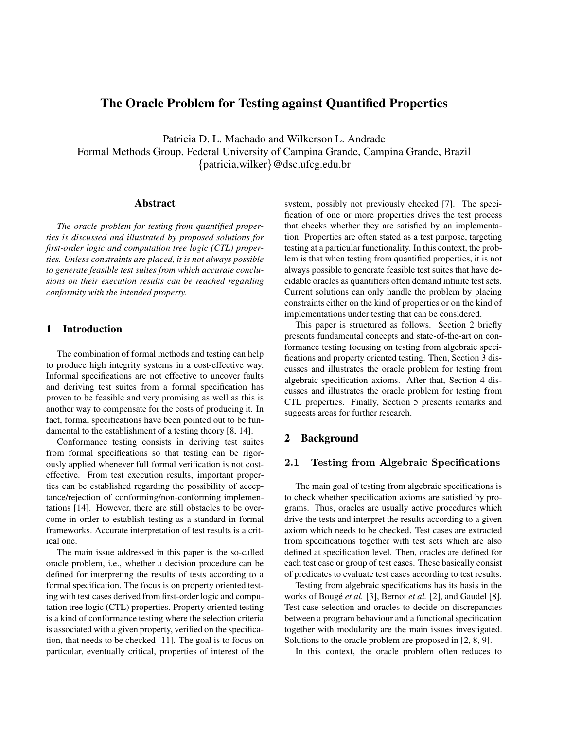# The Oracle Problem for Testing against Quantified Properties

Patricia D. L. Machado and Wilkerson L. Andrade Formal Methods Group, Federal University of Campina Grande, Campina Grande, Brazil {patricia,wilker}@dsc.ufcg.edu.br

## Abstract

*The oracle problem for testing from quantified properties is discussed and illustrated by proposed solutions for first-order logic and computation tree logic (CTL) properties. Unless constraints are placed, it is not always possible to generate feasible test suites from which accurate conclusions on their execution results can be reached regarding conformity with the intended property.*

## 1 Introduction

The combination of formal methods and testing can help to produce high integrity systems in a cost-effective way. Informal specifications are not effective to uncover faults and deriving test suites from a formal specification has proven to be feasible and very promising as well as this is another way to compensate for the costs of producing it. In fact, formal specifications have been pointed out to be fundamental to the establishment of a testing theory [8, 14].

Conformance testing consists in deriving test suites from formal specifications so that testing can be rigorously applied whenever full formal verification is not costeffective. From test execution results, important properties can be established regarding the possibility of acceptance/rejection of conforming/non-conforming implementations [14]. However, there are still obstacles to be overcome in order to establish testing as a standard in formal frameworks. Accurate interpretation of test results is a critical one.

The main issue addressed in this paper is the so-called oracle problem, i.e., whether a decision procedure can be defined for interpreting the results of tests according to a formal specification. The focus is on property oriented testing with test cases derived from first-order logic and computation tree logic (CTL) properties. Property oriented testing is a kind of conformance testing where the selection criteria is associated with a given property, verified on the specification, that needs to be checked [11]. The goal is to focus on particular, eventually critical, properties of interest of the system, possibly not previously checked [7]. The specification of one or more properties drives the test process that checks whether they are satisfied by an implementation. Properties are often stated as a test purpose, targeting testing at a particular functionality. In this context, the problem is that when testing from quantified properties, it is not always possible to generate feasible test suites that have decidable oracles as quantifiers often demand infinite test sets. Current solutions can only handle the problem by placing constraints either on the kind of properties or on the kind of implementations under testing that can be considered.

This paper is structured as follows. Section 2 briefly presents fundamental concepts and state-of-the-art on conformance testing focusing on testing from algebraic specifications and property oriented testing. Then, Section 3 discusses and illustrates the oracle problem for testing from algebraic specification axioms. After that, Section 4 discusses and illustrates the oracle problem for testing from CTL properties. Finally, Section 5 presents remarks and suggests areas for further research.

## 2 Background

## 2.1 Testing from Algebraic Specifications

The main goal of testing from algebraic specifications is to check whether specification axioms are satisfied by programs. Thus, oracles are usually active procedures which drive the tests and interpret the results according to a given axiom which needs to be checked. Test cases are extracted from specifications together with test sets which are also defined at specification level. Then, oracles are defined for each test case or group of test cases. These basically consist of predicates to evaluate test cases according to test results.

Testing from algebraic specifications has its basis in the works of Bougé *et al.* [3], Bernot *et al.* [2], and Gaudel [8]. Test case selection and oracles to decide on discrepancies between a program behaviour and a functional specification together with modularity are the main issues investigated. Solutions to the oracle problem are proposed in [2, 8, 9].

In this context, the oracle problem often reduces to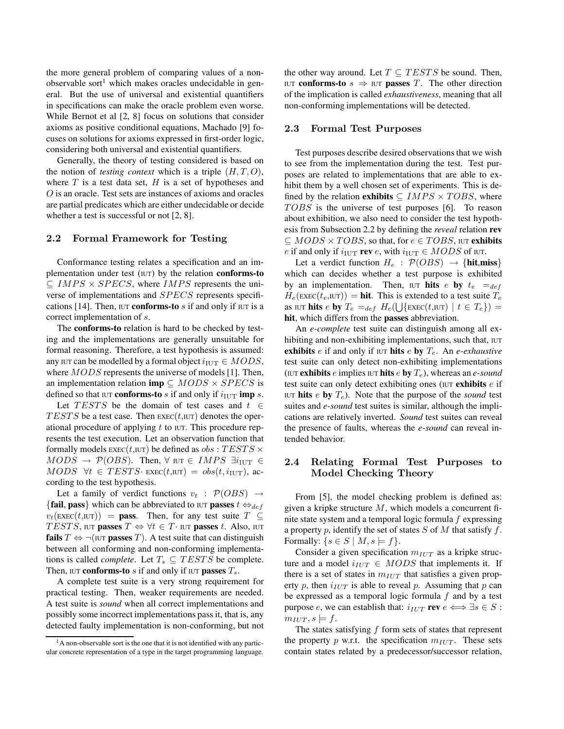the more general problem of comparing values of a nonobservable sort<sup>1</sup> which makes oracles undecidable in general. But the use of universal and existential quantifiers in specifications can make the oracle problem even worse. While Bernot et al [2, 8] focus on solutions that consider axioms as positive conditional equations, Machado [9] focuses on solutions for axioms expressed in first-order logic, considering both universal and existential quantifiers.

Generally, the theory of testing considered is based on the notion of *testing context* which is a triple  $(H, T, O)$ , where  $T$  is a test data set,  $H$  is a set of hypotheses and O is an oracle. Test sets are instances of axioms and oracles are partial predicates which are either undecidable or decide whether a test is successful or not [2, 8].

## 2.2 Formal Framework for Testing

Conformance testing relates a specification and an implementation under test (IUT) by the relation conforms-to  $\subseteq IMPS \times SPECS$ , where *IMPS* represents the universe of implementations and SPECS represents specifications [14]. Then,  $UT$  conforms-to s if and only if  $UT$  is a correct implementation of s.

The conforms-to relation is hard to be checked by testing and the implementations are generally unsuitable for formal reasoning. Therefore, a test hypothesis is assumed: any IUT can be modelled by a formal object  $i_{\text{HUT}} \in MODS$ , where  $MODS$  represents the universe of models [1]. Then, an implementation relation imp  $\subseteq MODE \times SPECS$  is defined so that IUT **conforms-to** s if and only if  $i_{\text{IUT}}$  **imp** s.

Let TESTS be the domain of test cases and  $t \in$  $TESTS$  be a test case. Then  $\text{exec}(t, \text{IUT})$  denotes the operational procedure of applying  $t$  to IUT. This procedure represents the test execution. Let an observation function that formally models  $\text{exec}(t, \text{IUT})$  be defined as  $obs : TESTS \times$  $MODS \rightarrow \mathcal{P}(OBS)$ . Then,  $\forall$  IUT  $\in$  IMPS  $\exists i_{\text{IUT}} \in$  $MODS \ \forall t \in TESTS$ ·  $\text{exec}(t, \text{IUT}) = obs(t, i_{\text{IUT}})$ , according to the test hypothesis.

Let a family of verdict functions  $v_t$  :  $\mathcal{P}(OBS) \rightarrow$ {fail, pass} which can be abbreviated to IUT passes  $t \Leftrightarrow_{def}$  $v_t(\text{exec}(t, \text{IUT})) = \text{pass.}$  Then, for any test suite  $T \subseteq$ TESTS, IUT **passes**  $T \Leftrightarrow \forall t \in T$  · IUT **passes** t. Also, IUT **fails**  $T \Leftrightarrow \neg(\text{IUT passes } T)$ . A test suite that can distinguish between all conforming and non-conforming implementations is called *complete*. Let  $T_s \subseteq TESTS$  be complete. Then, IUT **conforms-to** s if and only if IUT **passes**  $T_s$ .

A complete test suite is a very strong requirement for practical testing. Then, weaker requirements are needed. A test suite is *sound* when all correct implementations and possibly some incorrect implementations pass it, that is, any detected faulty implementation is non-conforming, but not the other way around. Let  $T \subseteq TESTS$  be sound. Then, IUT **conforms-to**  $s \Rightarrow$  IUT **passes** T. The other direction of the implication is called *exhaustiveness*, meaning that all non-conforming implementations will be detected.

#### 2.3 Formal Test Purposes

Test purposes describe desired observations that we wish to see from the implementation during the test. Test purposes are related to implementations that are able to exhibit them by a well chosen set of experiments. This is defined by the relation exhibits  $\subseteq IMPS \times TOBS$ , where TOBS is the universe of test purposes [6]. To reason about exhibition, we also need to consider the test hypothesis from Subsection 2.2 by defining the *reveal* relation rev  $\subseteq MODE \times TOBS$ , so that, for  $e \in TOBS$ ,  $\overline{u}$  exhibits e if and only if  $i_{\text{IUT}}$  rev e, with  $i_{\text{IUT}} \in MODS$  of  $\text{IUT}$ .

Let a verdict function  $H_e$ :  $\mathcal{P}(OBS) \rightarrow \{\text{hit,miss}\}\$ which can decides whether a test purpose is exhibited by an implementation. Then, IUT hits e by  $t_e =_{def}$  $H_e(\text{exec}(t_e, \text{IUT})) = \text{hit}$ . This is extended to a test suite  $T_e$ as iut hits e by  $T_e =_{def} H_e(\bigcup \{\text{exec}(t, \text{IUT}) \mid t \in T_e\}) =$ hit, which differs from the passes abbreviation.

An *e-complete* test suite can distinguish among all exhibiting and non-exhibiting implementations, such that, IUT exhibits  $e$  if and only if IUT hits  $e$  by  $T_e$ . An  $e$ -exhaustive test suite can only detect non-exhibiting implementations (IUT **exhibits** e implies IUT **hits** e **by**  $T_e$ ), whereas an *e-sound* test suite can only detect exhibiting ones ( $UT$  exhibits  $e$  if IUT **hits** e by  $T_e$ ). Note that the purpose of the *sound* test suites and *e-sound* test suites is similar, although the implications are relatively inverted. *Sound* test suites can reveal the presence of faults, whereas the *e-sound* can reveal intended behavior.

## 2.4 Relating Formal Test Purposes to Model Checking Theory

From [5], the model checking problem is defined as: given a kripke structure  $M$ , which models a concurrent finite state system and a temporal logic formula  $f$  expressing a property  $p$ , identify the set of states  $S$  of  $M$  that satisfy  $f$ . Formally:  $\{s \in S \mid M, s \models f\}.$ 

Consider a given specification  $m_{IUT}$  as a kripke structure and a model  $i_{IUT} \in MODS$  that implements it. If there is a set of states in  $m_{IUT}$  that satisfies a given property p, then  $i_{IUT}$  is able to reveal p. Assuming that p can be expressed as a temporal logic formula  $f$  and by a test purpose *e*, we can establish that:  $i_{IUT}$  rev  $e \iff \exists s \in S$ :  $m_{IUT}, s \models f.$ 

The states satisfying  $f$  form sets of states that represent the property p w.r.t. the specification  $m_{IUT}$ . These sets contain states related by a predecessor/successor relation,

 $1<sup>1</sup>A$  non-observable sort is the one that it is not identified with any particular concrete representation of a type in the target programming language.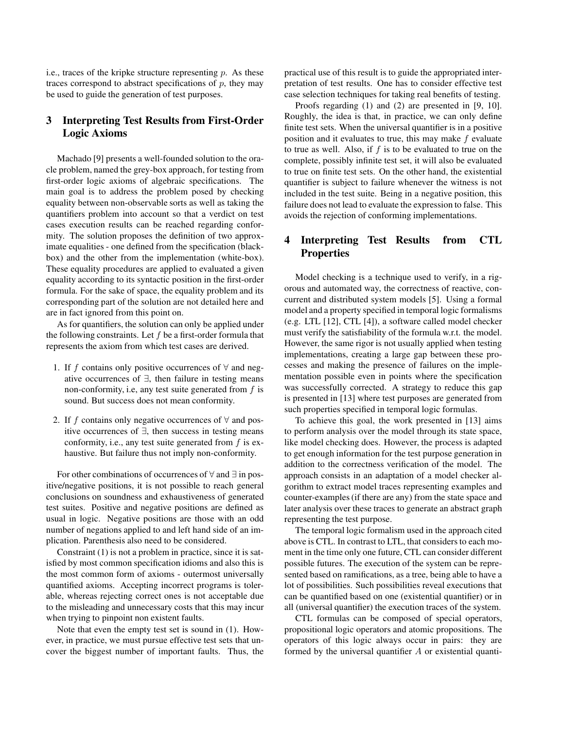i.e., traces of the kripke structure representing  $p$ . As these traces correspond to abstract specifications of  $p$ , they may be used to guide the generation of test purposes.

## 3 Interpreting Test Results from First-Order Logic Axioms

Machado [9] presents a well-founded solution to the oracle problem, named the grey-box approach, for testing from first-order logic axioms of algebraic specifications. The main goal is to address the problem posed by checking equality between non-observable sorts as well as taking the quantifiers problem into account so that a verdict on test cases execution results can be reached regarding conformity. The solution proposes the definition of two approximate equalities - one defined from the specification (blackbox) and the other from the implementation (white-box). These equality procedures are applied to evaluated a given equality according to its syntactic position in the first-order formula. For the sake of space, the equality problem and its corresponding part of the solution are not detailed here and are in fact ignored from this point on.

As for quantifiers, the solution can only be applied under the following constraints. Let  $f$  be a first-order formula that represents the axiom from which test cases are derived.

- 1. If f contains only positive occurrences of  $∀$  and negative occurrences of ∃, then failure in testing means non-conformity, i.e, any test suite generated from  $f$  is sound. But success does not mean conformity.
- 2. If f contains only negative occurrences of  $\forall$  and positive occurrences of ∃, then success in testing means conformity, i.e., any test suite generated from  $f$  is exhaustive. But failure thus not imply non-conformity.

For other combinations of occurrences of ∀ and ∃ in positive/negative positions, it is not possible to reach general conclusions on soundness and exhaustiveness of generated test suites. Positive and negative positions are defined as usual in logic. Negative positions are those with an odd number of negations applied to and left hand side of an implication. Parenthesis also need to be considered.

Constraint (1) is not a problem in practice, since it is satisfied by most common specification idioms and also this is the most common form of axioms - outermost universally quantified axioms. Accepting incorrect programs is tolerable, whereas rejecting correct ones is not acceptable due to the misleading and unnecessary costs that this may incur when trying to pinpoint non existent faults.

Note that even the empty test set is sound in (1). However, in practice, we must pursue effective test sets that uncover the biggest number of important faults. Thus, the practical use of this result is to guide the appropriated interpretation of test results. One has to consider effective test case selection techniques for taking real benefits of testing.

Proofs regarding (1) and (2) are presented in [9, 10]. Roughly, the idea is that, in practice, we can only define finite test sets. When the universal quantifier is in a positive position and it evaluates to true, this may make f evaluate to true as well. Also, if  $f$  is to be evaluated to true on the complete, possibly infinite test set, it will also be evaluated to true on finite test sets. On the other hand, the existential quantifier is subject to failure whenever the witness is not included in the test suite. Being in a negative position, this failure does not lead to evaluate the expression to false. This avoids the rejection of conforming implementations.

# 4 Interpreting Test Results from CTL **Properties**

Model checking is a technique used to verify, in a rigorous and automated way, the correctness of reactive, concurrent and distributed system models [5]. Using a formal model and a property specified in temporal logic formalisms (e.g. LTL [12], CTL [4]), a software called model checker must verify the satisfiability of the formula w.r.t. the model. However, the same rigor is not usually applied when testing implementations, creating a large gap between these processes and making the presence of failures on the implementation possible even in points where the specification was successfully corrected. A strategy to reduce this gap is presented in [13] where test purposes are generated from such properties specified in temporal logic formulas.

To achieve this goal, the work presented in [13] aims to perform analysis over the model through its state space, like model checking does. However, the process is adapted to get enough information for the test purpose generation in addition to the correctness verification of the model. The approach consists in an adaptation of a model checker algorithm to extract model traces representing examples and counter-examples (if there are any) from the state space and later analysis over these traces to generate an abstract graph representing the test purpose.

The temporal logic formalism used in the approach cited above is CTL. In contrast to LTL, that considers to each moment in the time only one future, CTL can consider different possible futures. The execution of the system can be represented based on ramifications, as a tree, being able to have a lot of possibilities. Such possibilities reveal executions that can be quantified based on one (existential quantifier) or in all (universal quantifier) the execution traces of the system.

CTL formulas can be composed of special operators, propositional logic operators and atomic propositions. The operators of this logic always occur in pairs: they are formed by the universal quantifier A or existential quanti-